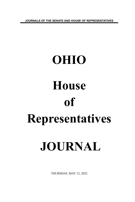**JOURNALS OF THE SENATE AND HOUSE OF REPRESENTATIVES**

# **OHIO House of Representatives JOURNAL**

THURSDAY, MAY 12, 2022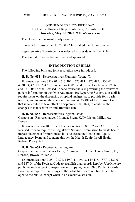# ONE HUNDRED FIFTY-FIFTH DAY Hall of the House of Representatives, Columbus, Ohio **Thursday, May 12, 2022, 9:00 o'clock a.m.**

The House met pursuant to adjournment.

Pursuant to House Rule No. 23, the Clerk called the House to order.

Representative Swearingen was selected to preside under the Rule.

The journal of yesterday was read and approved.

### **INTRODUCTION OF BILLS**

The following bills and joint resolution were introduced:

**H. B. No. 652 -** Representatives Plummer, Young, T.

To amend sections 3719.01, 4715.302, 4723.481, 4723.487, 4730.42, 4730.53, 4731.052, 4731.054, and 4731.055 and to enact sections 3719.065 and 3719.081 of the Revised Code to revise the law governing the review of patient information in the Ohio Automated Rx Reporting System, to establish requirements on the dispensing of opioid analgesics, to provide for a cash transfer, and to amend the version of section 4723.481 of the Revised Code that is scheduled to take effect on September 30, 2024, to continue the changes to that section on and after that date.

**H. B. No. 653 -** Representatives Ingram, Davis.

Cosponsors: Representatives Miranda, Brent, Kelly, Liston, Miller, A., Denson.

To amend section 103.13 and to enact sections 103.132 and 3701.35 of the Revised Code to require the Legislative Service Commission to create health impact statements for introduced bills, to create the Health and Equity Interagency Team, and to name this act the Health Equity In All Health Related Policy Act.

**H. B. No. 654 -** Representative Ingram.

Cosponsors: Representatives Kelly, Crossman, Brinkman, Davis, Smith, K., Denson, Brown, Miller, A.

To amend sections 9.28, 121.22, 149.011, 149.43, 149.436, 187.01, 187.03, and 187.04 of the Revised Code to establish that records kept by JobsOhio are public records subject to inspection and copying under Ohio Public Records Law and to require all meetings of the JobsOhio Board of Directors to be open to the public, except when in an executive session.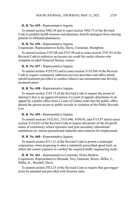**H. B. No. 655 -** Representative Ingram.

To amend section 3902.50 and to enact section 3902.73 of the Revised Code to prohibit health insurers and pharmacy benefit managers from steering patients to affiliated pharmacies.

#### **H. B. No. 656 -** Representative Ingram.

Cosponsors: Representatives Kelly, Davis, Crossman, Humphrey.

To amend sections 5747.08 and 5747.98 and to enact section 5747.83 of the Revised Code to authorize an income tax credit for senior citizens who complete an adult financial literacy course.

#### **H. B. No. 657 -** Representative Ingram.

To amend section 4729.553 and to enact section 5119.369 of the Revised Code to require community addiction services providers and office-based opioid treatment providers to conduct tobacco use assessments and develop treatment plans.

**H. B. No. 658 -** Representative Ingram.

To amend section 2743.75 of the Revised Code to require the award of attorney's fees to an aggrieved person if a court of appeals determines in an appeal by a public office from a Court of Claims order that the public office denied the person access to public records in violation of the Public Records Law.

#### **H. B. No. 659 -** Representative Ingram.

To amend sections 3332.031, 3333.046, 4709.05, and 4713.07 and to enact section 3314.033 of the Revised Code to require disclosure of the for-profit status of community school operators and post-secondary educational institutions on various promotional materials and contracts for employment.

#### **H. B. No. 660 -** Representative Ingram.

To amend section 4511.21 of the Revised Code to permit a municipal corporation, when proposing to alter a statutorily prescribed speed limit, to utilize the county engineer to conduct the required traffic engineering study.

**H. B. No. 661 -** Representatives Crossman, Hicks-Hudson. Cosponsors: Representatives Miranda, Troy, Galonski, Russo, Miller, J., Miller, K., Skindell, Davis.

To amend section 2923.25 of the Revised Code to require that gun trigger locks be attached and provided with firearms sales.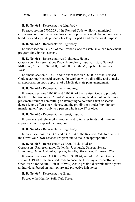### **H. B. No. 662 -** Representative Lightbody.

To enact section 5705.223 of the Revised Code to allow a municipal corporation or joint recreation district to propose, as a single ballot question, a bond levy and separate property tax levy for parks and recreational purposes.

## **H. B. No. 663 -** Representative Lightbody.

To enact section 3319.58 of the Revised Code to establish a loan repayment program for eligible teachers.

**H. B. No. 664 -** Representatives Lightbody, Hoops. Cosponsors: Representatives Davis, Humphrey, Ingram, Liston, Galonski, Miller, A., Miller, J., Skindell, Smith, K., Smith, M., Upchurch, Weinstein, **West**.

To amend section 5163.06 and to enact section 5163.062 of the Revised Code regarding Medicaid coverage for workers with a disability and to make an appropriation upon approval of a Medicaid state plan amendment.

**H. B. No. 665 -** Representative Humphrey.

To amend sections 2903.02 and 2903.04 of the Revised Code to provide that the prohibition under "murder" against causing the death of another as a proximate result of committing or attempting to commit a first or second degree felony offense of violence, and the prohibitions under "involuntary manslaughter," apply only to a person who is age 18 or older.

**H. B. No. 666 -** Representatives West, Ingram.

To create a rent rebate pilot program and to transfer funds and make an appropriation to support the program.

**H. B. No. 667 -** Representative Lightbody.

To enact sections 3333.393 and 3333.394 of the Revised Code to establish the Grow Your Own Teacher Program and to make an appropriation.

**H. B. No. 668 -** Representatives Brent, Hicks-Hudson. Cosponsors: Representatives Callender, Upchurch, Denson, Sykes, Humphrey, Davis, Galonski, Ingram, Jarrells, Blackshear, Robinson, West.

To amend sections 3314.03, 3326.11, 3328.24, and 4112.01 and to enact section 3319.48 of the Revised Code to enact the Creating a Respectful and Open World for Natural Hair (CROWN) Act to prohibit discrimination against an individual based on hair texture and protective hair styles.

**H. B. No. 669 -** Representative Brent.

To create the Healthy Soils Task Force.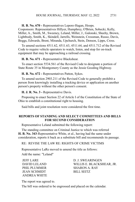**H. B. No. 670 -** Representatives Lepore-Hagan, Hoops.

Cosponsors: Representatives Hillyer, Humphrey, O'Brien, Sobecki, Kelly, Miller, A., Smith, M., Sweeney, Leland, Miller, J., Galonski, Sheehy, Brown, Lightbody, Smith, K., Skindell, Jarrells, Weinstein, Crossman, Russo, Davis, Boggs, Edwards, Brent, Miranda, Upchurch, Stein, Denson, Lipps, Cross.

To amend sections 4511.62, 4511.63, 4511.64, and 4511.712 of the Revised Code to require vehicle operators to watch, listen, and stop for on-track equipment that may be approaching a railroad crossing.

**H. B. No. 671 -** Representative Blackshear.

To enact section 5534.561 of the Revised Code to designate a portion of State Route 35 in Montgomery County as the Jessie Gooding Highway.

**H. B. No. 672 -** Representatives Patton, Sykes.

To amend section 2903.211 of the Revised Code to generally prohibit a person from knowingly installing a tracking device or application on another person's property without the other person's consent.

**H. J. R. No. 3 -** Representative Davis.

Proposing to enact Section 22 of Article I of the Constitution of the State of Ohio to establish a constitutional right to housing.

Said bills and joint resolution were considered the first time.

# **REPORTS OF STANDING AND SELECT COMMITTEES AND BILLS FOR SECOND CONSIDERATION**

Representative Leland submitted the following report:

The standing committee on Criminal Justice to which was referred **H. B. No. 343**-Representative White, et al., having had the same under consideration, reports it back as a substitute bill and recommends its passage.

RE: REVISE THE LAW RE: RIGHTS OF CRIME VICTIMS

Representative LaRe moved to amend the title as follows:

Add the name: "Leland"

PHIL PLUMMER SHARON A. RAY JEAN SCHMIDT BILL SEITZ ANDREA WHITE

**JEFF LARE D. J. SWEARINGEN** DAVID LELAND WILLIS E. BLACKSHEAR, JR.

The report was agreed to.

The bill was ordered to be engrossed and placed on the calendar.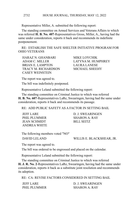Representative Miller, A. submitted the following report:

The standing committee on Armed Services and Veterans Affairs to which was referred **H. B. No. 407**-Representatives Gross, Miller, A., having had the same under consideration, reports it back and recommends its indefinite postponement.

RE: ESTABLISH THE SAFE SHELTER INITIATIVE PROGRAM FOR OHIO VETERANS

HARAZ N. GHANBARI MIKE LOYCHIK ADAM C. MILLER LATYNA M. HUMPHREY BRIAN E. LAMPTON LAURA LANESE TRACY M. RICHARDSON MICHAEL SHEEHY CASEY WEINSTEIN

The report was agreed to.

The bill was indefinitely postponed.

Representative Leland submitted the following report:

The standing committee on Criminal Justice to which was referred **H. B. No. 607**-Representatives LaRe, Swearingen, having had the same under consideration, reports it back and recommends its passage.

RE: ADD PUBLIC SAFETY AS A FACTOR IN SETTING BAIL

PHIL PLUMMER SHARON A. RAY JEAN SCHMIDT BILL SEITZ ANDREA WHITE

**JEFF LARE D. J. SWEARINGEN** 

The following members voted "NO"

DAVID LELAND WILLIS E. BLACKSHEAR, JR.

The report was agreed to.

The bill was ordered to be engrossed and placed on the calendar.

Representative Leland submitted the following report:

The standing committee on Criminal Justice to which was referred **H. J. R. No. 2**-Representatives LaRe, Swearingen, having had the same under consideration, reports it back as a substitute joint resolution and recommends its adoption.

RE: CA: REVISE FACTORS CONSIDERED IN SETTING BAIL

**JEFF LARE D. J. SWEARINGEN** PHIL PLUMMER
SHARON A RAY